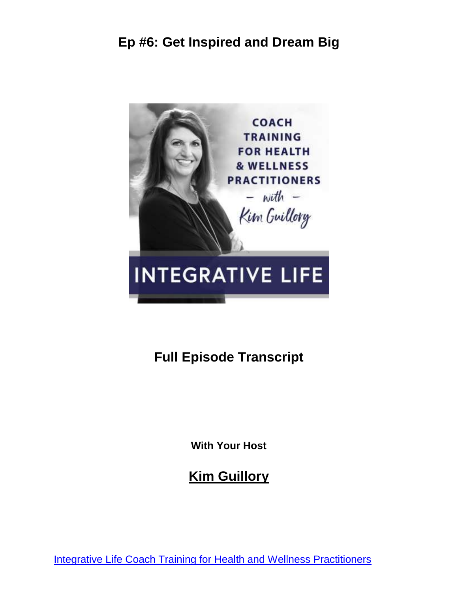

# **Full Episode Transcript**

**With Your Host**

**Kim Guillory**

[Integrative Life Coach Training for Health and Wellness Practitioners](https://kimguillory.com/podcast)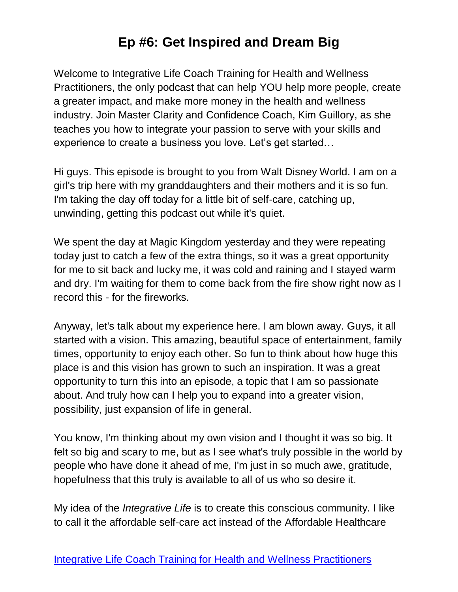Welcome to Integrative Life Coach Training for Health and Wellness Practitioners, the only podcast that can help YOU help more people, create a greater impact, and make more money in the health and wellness industry. Join Master Clarity and Confidence Coach, Kim Guillory, as she teaches you how to integrate your passion to serve with your skills and experience to create a business you love. Let's get started…

Hi guys. This episode is brought to you from Walt Disney World. I am on a girl's trip here with my granddaughters and their mothers and it is so fun. I'm taking the day off today for a little bit of self-care, catching up, unwinding, getting this podcast out while it's quiet.

We spent the day at Magic Kingdom yesterday and they were repeating today just to catch a few of the extra things, so it was a great opportunity for me to sit back and lucky me, it was cold and raining and I stayed warm and dry. I'm waiting for them to come back from the fire show right now as I record this - for the fireworks.

Anyway, let's talk about my experience here. I am blown away. Guys, it all started with a vision. This amazing, beautiful space of entertainment, family times, opportunity to enjoy each other. So fun to think about how huge this place is and this vision has grown to such an inspiration. It was a great opportunity to turn this into an episode, a topic that I am so passionate about. And truly how can I help you to expand into a greater vision, possibility, just expansion of life in general.

You know, I'm thinking about my own vision and I thought it was so big. It felt so big and scary to me, but as I see what's truly possible in the world by people who have done it ahead of me, I'm just in so much awe, gratitude, hopefulness that this truly is available to all of us who so desire it.

My idea of the *Integrative Life* is to create this conscious community. I like to call it the affordable self-care act instead of the Affordable Healthcare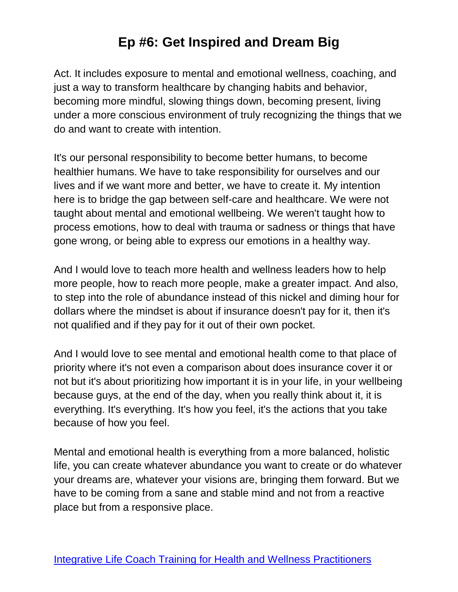Act. It includes exposure to mental and emotional wellness, coaching, and just a way to transform healthcare by changing habits and behavior, becoming more mindful, slowing things down, becoming present, living under a more conscious environment of truly recognizing the things that we do and want to create with intention.

It's our personal responsibility to become better humans, to become healthier humans. We have to take responsibility for ourselves and our lives and if we want more and better, we have to create it. My intention here is to bridge the gap between self-care and healthcare. We were not taught about mental and emotional wellbeing. We weren't taught how to process emotions, how to deal with trauma or sadness or things that have gone wrong, or being able to express our emotions in a healthy way.

And I would love to teach more health and wellness leaders how to help more people, how to reach more people, make a greater impact. And also, to step into the role of abundance instead of this nickel and diming hour for dollars where the mindset is about if insurance doesn't pay for it, then it's not qualified and if they pay for it out of their own pocket.

And I would love to see mental and emotional health come to that place of priority where it's not even a comparison about does insurance cover it or not but it's about prioritizing how important it is in your life, in your wellbeing because guys, at the end of the day, when you really think about it, it is everything. It's everything. It's how you feel, it's the actions that you take because of how you feel.

Mental and emotional health is everything from a more balanced, holistic life, you can create whatever abundance you want to create or do whatever your dreams are, whatever your visions are, bringing them forward. But we have to be coming from a sane and stable mind and not from a reactive place but from a responsive place.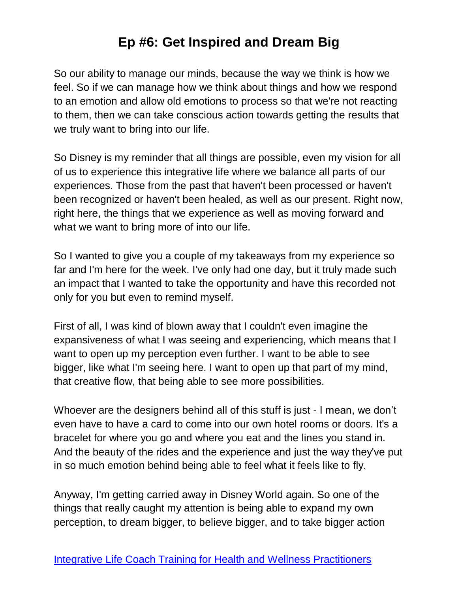So our ability to manage our minds, because the way we think is how we feel. So if we can manage how we think about things and how we respond to an emotion and allow old emotions to process so that we're not reacting to them, then we can take conscious action towards getting the results that we truly want to bring into our life.

So Disney is my reminder that all things are possible, even my vision for all of us to experience this integrative life where we balance all parts of our experiences. Those from the past that haven't been processed or haven't been recognized or haven't been healed, as well as our present. Right now, right here, the things that we experience as well as moving forward and what we want to bring more of into our life.

So I wanted to give you a couple of my takeaways from my experience so far and I'm here for the week. I've only had one day, but it truly made such an impact that I wanted to take the opportunity and have this recorded not only for you but even to remind myself.

First of all, I was kind of blown away that I couldn't even imagine the expansiveness of what I was seeing and experiencing, which means that I want to open up my perception even further. I want to be able to see bigger, like what I'm seeing here. I want to open up that part of my mind, that creative flow, that being able to see more possibilities.

Whoever are the designers behind all of this stuff is just - I mean, we don't even have to have a card to come into our own hotel rooms or doors. It's a bracelet for where you go and where you eat and the lines you stand in. And the beauty of the rides and the experience and just the way they've put in so much emotion behind being able to feel what it feels like to fly.

Anyway, I'm getting carried away in Disney World again. So one of the things that really caught my attention is being able to expand my own perception, to dream bigger, to believe bigger, and to take bigger action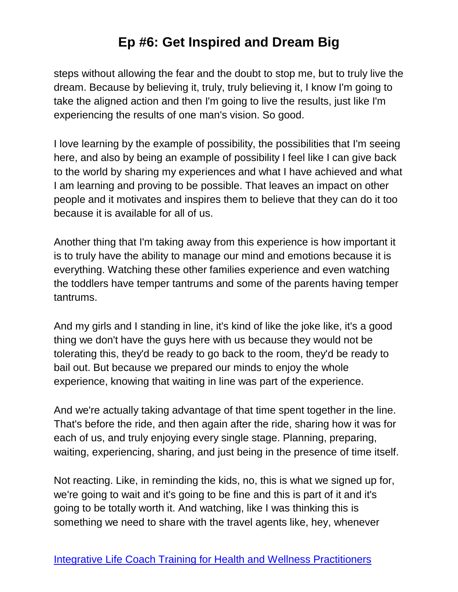steps without allowing the fear and the doubt to stop me, but to truly live the dream. Because by believing it, truly, truly believing it, I know I'm going to take the aligned action and then I'm going to live the results, just like I'm experiencing the results of one man's vision. So good.

I love learning by the example of possibility, the possibilities that I'm seeing here, and also by being an example of possibility I feel like I can give back to the world by sharing my experiences and what I have achieved and what I am learning and proving to be possible. That leaves an impact on other people and it motivates and inspires them to believe that they can do it too because it is available for all of us.

Another thing that I'm taking away from this experience is how important it is to truly have the ability to manage our mind and emotions because it is everything. Watching these other families experience and even watching the toddlers have temper tantrums and some of the parents having temper tantrums.

And my girls and I standing in line, it's kind of like the joke like, it's a good thing we don't have the guys here with us because they would not be tolerating this, they'd be ready to go back to the room, they'd be ready to bail out. But because we prepared our minds to enjoy the whole experience, knowing that waiting in line was part of the experience.

And we're actually taking advantage of that time spent together in the line. That's before the ride, and then again after the ride, sharing how it was for each of us, and truly enjoying every single stage. Planning, preparing, waiting, experiencing, sharing, and just being in the presence of time itself.

Not reacting. Like, in reminding the kids, no, this is what we signed up for, we're going to wait and it's going to be fine and this is part of it and it's going to be totally worth it. And watching, like I was thinking this is something we need to share with the travel agents like, hey, whenever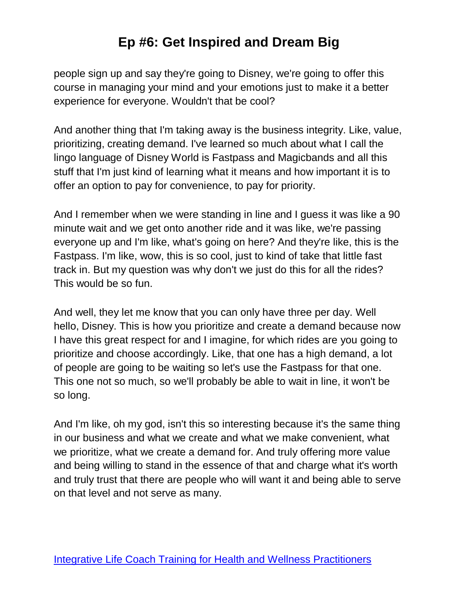people sign up and say they're going to Disney, we're going to offer this course in managing your mind and your emotions just to make it a better experience for everyone. Wouldn't that be cool?

And another thing that I'm taking away is the business integrity. Like, value, prioritizing, creating demand. I've learned so much about what I call the lingo language of Disney World is Fastpass and Magicbands and all this stuff that I'm just kind of learning what it means and how important it is to offer an option to pay for convenience, to pay for priority.

And I remember when we were standing in line and I guess it was like a 90 minute wait and we get onto another ride and it was like, we're passing everyone up and I'm like, what's going on here? And they're like, this is the Fastpass. I'm like, wow, this is so cool, just to kind of take that little fast track in. But my question was why don't we just do this for all the rides? This would be so fun.

And well, they let me know that you can only have three per day. Well hello, Disney. This is how you prioritize and create a demand because now I have this great respect for and I imagine, for which rides are you going to prioritize and choose accordingly. Like, that one has a high demand, a lot of people are going to be waiting so let's use the Fastpass for that one. This one not so much, so we'll probably be able to wait in line, it won't be so long.

And I'm like, oh my god, isn't this so interesting because it's the same thing in our business and what we create and what we make convenient, what we prioritize, what we create a demand for. And truly offering more value and being willing to stand in the essence of that and charge what it's worth and truly trust that there are people who will want it and being able to serve on that level and not serve as many.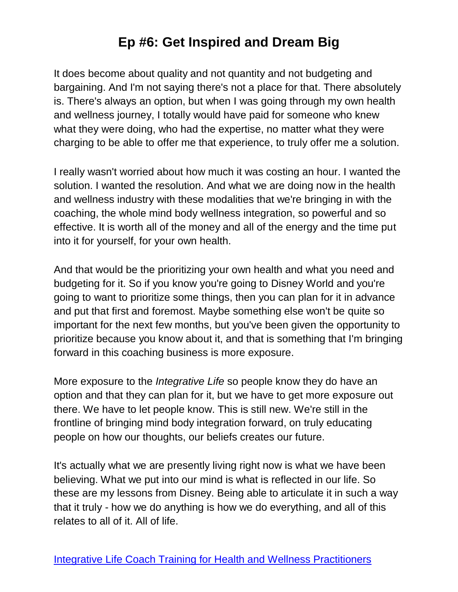It does become about quality and not quantity and not budgeting and bargaining. And I'm not saying there's not a place for that. There absolutely is. There's always an option, but when I was going through my own health and wellness journey, I totally would have paid for someone who knew what they were doing, who had the expertise, no matter what they were charging to be able to offer me that experience, to truly offer me a solution.

I really wasn't worried about how much it was costing an hour. I wanted the solution. I wanted the resolution. And what we are doing now in the health and wellness industry with these modalities that we're bringing in with the coaching, the whole mind body wellness integration, so powerful and so effective. It is worth all of the money and all of the energy and the time put into it for yourself, for your own health.

And that would be the prioritizing your own health and what you need and budgeting for it. So if you know you're going to Disney World and you're going to want to prioritize some things, then you can plan for it in advance and put that first and foremost. Maybe something else won't be quite so important for the next few months, but you've been given the opportunity to prioritize because you know about it, and that is something that I'm bringing forward in this coaching business is more exposure.

More exposure to the *Integrative Life* so people know they do have an option and that they can plan for it, but we have to get more exposure out there. We have to let people know. This is still new. We're still in the frontline of bringing mind body integration forward, on truly educating people on how our thoughts, our beliefs creates our future.

It's actually what we are presently living right now is what we have been believing. What we put into our mind is what is reflected in our life. So these are my lessons from Disney. Being able to articulate it in such a way that it truly - how we do anything is how we do everything, and all of this relates to all of it. All of life.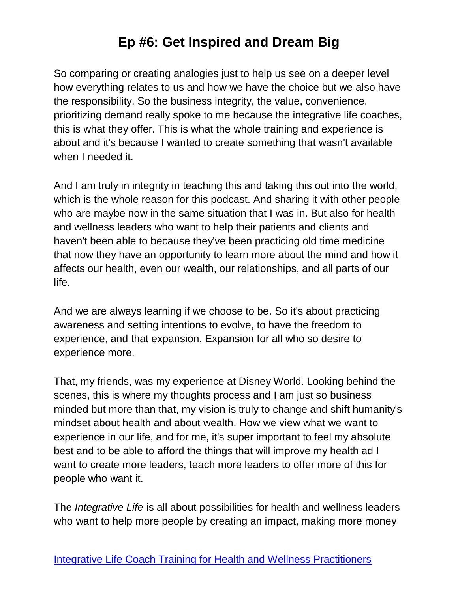So comparing or creating analogies just to help us see on a deeper level how everything relates to us and how we have the choice but we also have the responsibility. So the business integrity, the value, convenience, prioritizing demand really spoke to me because the integrative life coaches, this is what they offer. This is what the whole training and experience is about and it's because I wanted to create something that wasn't available when I needed it.

And I am truly in integrity in teaching this and taking this out into the world, which is the whole reason for this podcast. And sharing it with other people who are maybe now in the same situation that I was in. But also for health and wellness leaders who want to help their patients and clients and haven't been able to because they've been practicing old time medicine that now they have an opportunity to learn more about the mind and how it affects our health, even our wealth, our relationships, and all parts of our life.

And we are always learning if we choose to be. So it's about practicing awareness and setting intentions to evolve, to have the freedom to experience, and that expansion. Expansion for all who so desire to experience more.

That, my friends, was my experience at Disney World. Looking behind the scenes, this is where my thoughts process and I am just so business minded but more than that, my vision is truly to change and shift humanity's mindset about health and about wealth. How we view what we want to experience in our life, and for me, it's super important to feel my absolute best and to be able to afford the things that will improve my health ad I want to create more leaders, teach more leaders to offer more of this for people who want it.

The *Integrative Life* is all about possibilities for health and wellness leaders who want to help more people by creating an impact, making more money